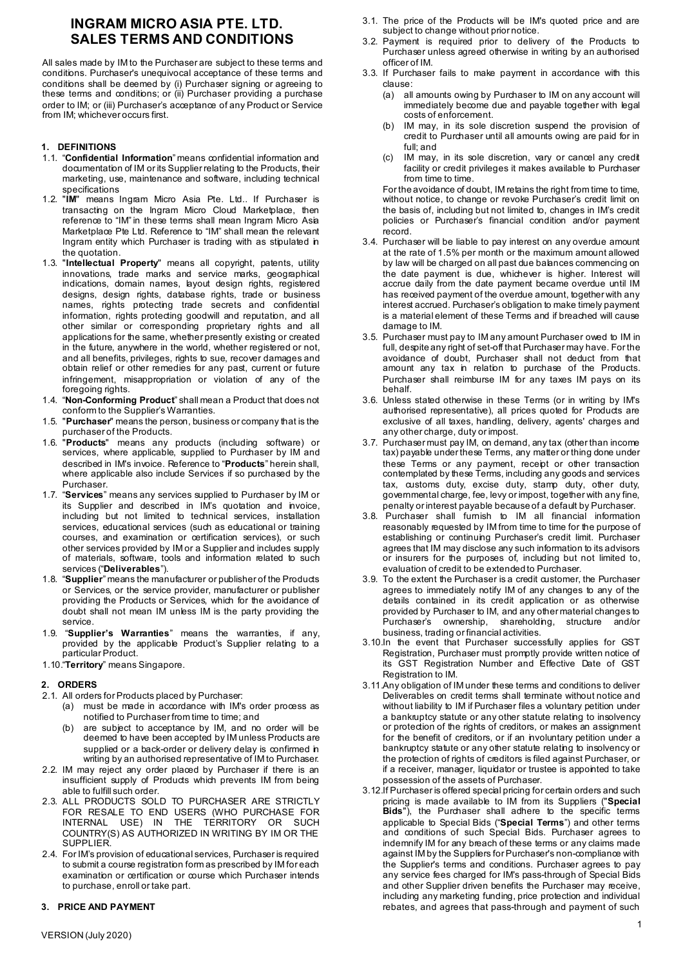# **INGRAM MICRO ASIA PTE. LTD. SALES TERMS AND CONDITIONS**

All sales made by IM to the Purchaser are subject to these terms and conditions. Purchaser's unequivocal acceptance of these terms and conditions shall be deemed by (i) Purchaser signing or agreeing to these terms and conditions; or (ii) Purchaser providing a purchase order to IM; or (iii) Purchaser's acceptance of any Product or Service from IM; whichever occurs first.

# **1. DEFINITIONS**

- 1.1. "**Confidential Information**" means confidential information and documentation of IM or its Supplier relating to the Products, their marketing, use, maintenance and software, including technical specifications
- 1.2. "**IM**" means Ingram Micro Asia Pte. Ltd.. If Purchaser is transacting on the Ingram Micro Cloud Marketplace, then reference to "IM" in these terms shall mean Ingram Micro Asia Marketplace Pte Ltd. Reference to "IM" shall mean the relevant Ingram entity which Purchaser is trading with as stipulated in the quotation.
- 1.3. "**Intellectual Property**" means all copyright, patents, utility innovations, trade marks and service marks, geographical indications, domain names, layout design rights, registered designs, design rights, database rights, trade or business names, rights protecting trade secrets and confidential information, rights protecting goodwill and reputation, and all other similar or corresponding proprietary rights and all applications for the same, whether presently existing or created in the future, anywhere in the world, whether registered or not, and all benefits, privileges, rights to sue, recover damages and obtain relief or other remedies for any past, current or future infringement, misappropriation or violation of any of the foregoing rights.
- 1.4. "**Non-Conforming Product**" shall mean a Product that does not conform to the Supplier's Warranties.
- 1.5. "**Purchaser**" means the person, business or company that is the purchaser of the Products.
- 1.6. "**Products**" means any products (including software) or services, where applicable, supplied to Purchaser by IM and described in IM's invoice. Reference to "**Products**" herein shall, where applicable also include Services if so purchased by the Purchaser.
- 1.7. "**Services**" means any services supplied to Purchaser by IM or its Supplier and described in IM's quotation and invoice, including but not limited to technical services, installation services, educational services (such as educational or training courses, and examination or certification services), or such other services provided by IM or a Supplier and includes supply of materials, software, tools and information related to such services ("**Deliverables**").
- 1.8. "**Supplier**" means the manufacturer or publisher of the Products or Services, or the service provider, manufacturer or publisher providing the Products or Services, which for the avoidance of doubt shall not mean IM unless IM is the party providing the service.
- 1.9. "**Supplier's Warranties**" means the warranties, if any, provided by the applicable Product's Supplier relating to a particular Product.
- 1.10."**Territory**" means Singapore.

# **2. ORDERS**

- 2.1. All orders for Products placed by Purchaser:
	- (a) must be made in accordance with IM's order process as notified to Purchaser from time to time; and
	- (b) are subject to acceptance by IM, and no order will be deemed to have been accepted by IM unless Products are supplied or a back-order or delivery delay is confirmed in writing by an authorised representative of IM to Purchaser.
- 2.2. IM may reject any order placed by Purchaser if there is an insufficient supply of Products which prevents IM from being able to fulfill such order.
- 2.3. ALL PRODUCTS SOLD TO PURCHASER ARE STRICTLY FOR RESALE TO END USERS (WHO PURCHASE FOR INTERNAL USE) IN THE TERRITORY OR SUCH COUNTRY(S) AS AUTHORIZED IN WRITING BY IM OR THE SUPPLIER.
- 2.4. For IM's provision of educational services, Purchaser is required to submit a course registration form as prescribed by IM for each examination or certification or course which Purchaser intends to purchase, enroll or take part.

# **3. PRICE AND PAYMENT**

- 3.1. The price of the Products will be IM's quoted price and are subject to change without prior notice.
- 3.2. Payment is required prior to delivery of the Products to Purchaser unless agreed otherwise in writing by an authorised officer of IM.
- 3.3. If Purchaser fails to make payment in accordance with this clause:
	- (a) all amounts owing by Purchaser to IM on any account will immediately become due and payable together with legal costs of enforcement.
	- (b) IM may, in its sole discretion suspend the provision of credit to Purchaser until all amounts owing are paid for in full; and
	- (c) IM may, in its sole discretion, vary or cancel any credit facility or credit privileges it makes available to Purchaser from time to time.

For the avoidance of doubt, IM retains the right from time to time, without notice, to change or revoke Purchaser's credit limit on the basis of, including but not limited to, changes in IM's credit policies or Purchaser's financial condition and/or payment record.

- 3.4. Purchaser will be liable to pay interest on any overdue amount at the rate of 1.5% per month or the maximum amount allowed by law will be charged on all past due balances commencing on the date payment is due, whichever is higher. Interest will accrue daily from the date payment became overdue until IM has received payment of the overdue amount, together with any interest accrued. Purchaser's obligation to make timely payment is a material element of these Terms and if breached will cause damage to IM.
- 3.5. Purchaser must pay to IM any amount Purchaser owed to IM in full, despite any right of set-off that Purchaser may have. For the avoidance of doubt, Purchaser shall not deduct from that amount any tax in relation to purchase of the Products. Purchaser shall reimburse IM for any taxes IM pays on its behalf.
- 3.6. Unless stated otherwise in these Terms (or in writing by IM's authorised representative), all prices quoted for Products are exclusive of all taxes, handling, delivery, agents' charges and any other charge, duty or impost.
- 3.7. Purchaser must pay IM, on demand, any tax (other than income tax) payable under these Terms, any matter or thing done under these Terms or any payment, receipt or other transaction contemplated by these Terms, including any goods and services tax, customs duty, excise duty, stamp duty, other duty, governmental charge, fee, levy or impost, together with any fine, penalty or interest payable because of a default by Purchaser.
- 3.8. Purchaser shall furnish to IM all financial information reasonably requested by IM from time to time for the purpose of establishing or continuing Purchaser's credit limit. Purchaser agrees that IM may disclose any such information to its advisors or insurers for the purposes of, including but not limited to, evaluation of credit to be extended to Purchaser.
- 3.9. To the extent the Purchaser is a credit customer, the Purchaser agrees to immediately notify IM of any changes to any of the details contained in its credit application or as otherwise provided by Purchaser to IM, and any other material changes to Purchaser's ownership, shareholding, structure and/or business, trading or financial activities.
- 3.10.In the event that Purchaser successfully applies for GST Registration, Purchaser must promptly provide written notice of its GST Registration Number and Effective Date of GST Registration to IM.
- 3.11.Any obligation of IM under these terms and conditions to deliver Deliverables on credit terms shall terminate without notice and without liability to IM if Purchaser files a voluntary petition under a bankruptcy statute or any other statute relating to insolvency or protection of the rights of creditors, or makes an assignment for the benefit of creditors, or if an involuntary petition under a bankruptcy statute or any other statute relating to insolvency or the protection of rights of creditors is filed against Purchaser, or if a receiver, manager, liquidator or trustee is appointed to take possession of the assets of Purchaser.
- 3.12.If Purchaser is offered special pricing for certain orders and such pricing is made available to IM from its Suppliers ("**Special Bids**"), the Purchaser shall adhere to the specific terms applicable to Special Bids ("**Special Terms**") and other terms and conditions of such Special Bids. Purchaser agrees to indemnify IM for any breach of these terms or any claims made against IM by the Suppliers for Purchaser's non-compliance with the Supplier's terms and conditions. Purchaser agrees to pay any service fees charged for IM's pass-through of Special Bids and other Supplier driven benefits the Purchaser may receive, including any marketing funding, price protection and individual rebates, and agrees that pass-through and payment of such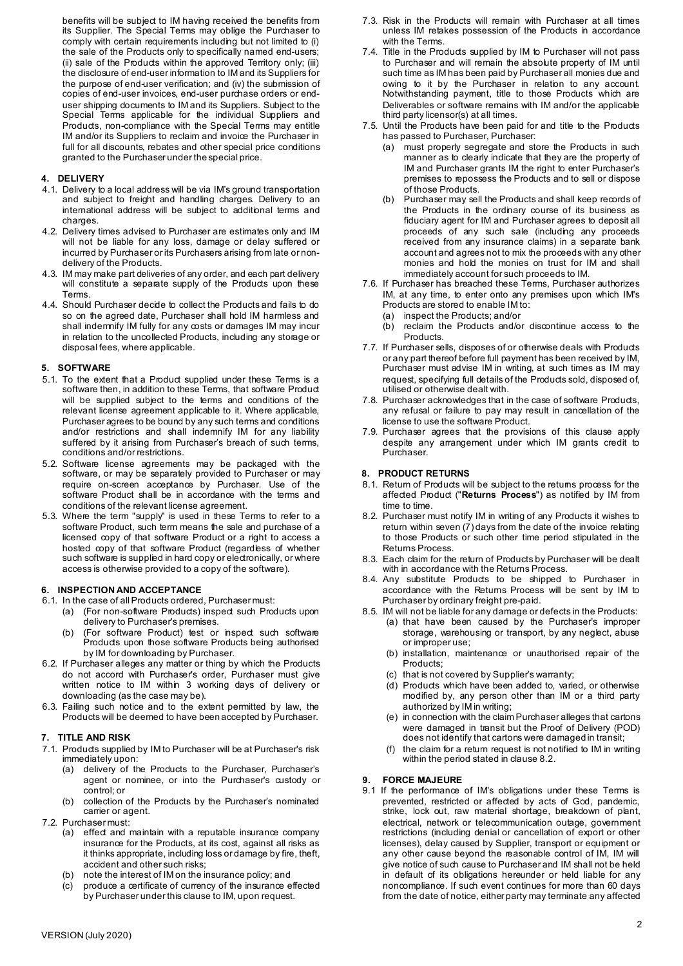benefits will be subject to IM having received the benefits from its Supplier. The Special Terms may oblige the Purchaser to comply with certain requirements including but not limited to (i) the sale of the Products only to specifically named end-users; (ii) sale of the Products within the approved Territory only; (iii) the disclosure of end-user information to IM and its Suppliers for the purpose of end-user verification; and (iv) the submission of copies of end-user invoices, end-user purchase orders or enduser shipping documents to IM and its Suppliers. Subject to the Special Terms applicable for the individual Suppliers and Products, non-compliance with the Special Terms may entitle IM and/or its Suppliers to reclaim and invoice the Purchaser in full for all discounts, rebates and other special price conditions granted to the Purchaser under the special price.

# **4. DELIVERY**

- 4.1. Delivery to a local address will be via IM's ground transportation and subject to freight and handling charges. Delivery to an international address will be subject to additional terms and charges.
- 4.2. Delivery times advised to Purchaser are estimates only and IM will not be liable for any loss, damage or delay suffered or incurred by Purchaser or its Purchasers arising from late or nondelivery of the Products.
- 4.3. IM may make part deliveries of any order, and each part delivery will constitute a separate supply of the Products upon these **Terms**
- 4.4. Should Purchaser decide to collect the Products and fails to do so on the agreed date, Purchaser shall hold IM harmless and shall indemnify IM fully for any costs or damages IM may incur in relation to the uncollected Products, including any storage or disposal fees, where applicable.

#### **5. SOFTWARE**

- 5.1. To the extent that a Product supplied under these Terms is a software then, in addition to these Terms, that software Product will be supplied subject to the terms and conditions of the relevant license agreement applicable to it. Where applicable, Purchaser agrees to be bound by any such terms and conditions and/or restrictions and shall indemnify IM for any liability suffered by it arising from Purchaser's breach of such terms, conditions and/or restrictions.
- 5.2. Software license agreements may be packaged with the software, or may be separately provided to Purchaser or may require on-screen acceptance by Purchaser. Use of the software Product shall be in accordance with the terms and conditions of the relevant license agreement.
- 5.3. Where the term "supply" is used in these Terms to refer to a software Product, such term means the sale and purchase of a licensed copy of that software Product or a right to access a hosted copy of that software Product (regardless of whether such software is supplied in hard copy or electronically, or where access is otherwise provided to a copy of the software).

# **6. INSPECTION AND ACCEPTANCE**

- 6.1. In the case of all Products ordered, Purchaser must:
	- (a) (For non-software Products) inspect such Products upon delivery to Purchaser's premises.
	- (b) (For software Product) test or inspect such software Products upon those software Products being authorised by IM for downloading by Purchaser.
- 6.2. If Purchaser alleges any matter or thing by which the Products do not accord with Purchaser's order, Purchaser must give written notice to IM within 3 working days of delivery or downloading (as the case may be).
- 6.3. Failing such notice and to the extent permitted by law, the Products will be deemed to have been accepted by Purchaser.

#### **7. TITLE AND RISK**

- 7.1. Products supplied by IM to Purchaser will be at Purchaser's risk immediately upon:
	- (a) delivery of the Products to the Purchaser, Purchaser's agent or nominee, or into the Purchaser's custody or control; or
	- (b) collection of the Products by the Purchaser's nominated carrier or agent.
- 7.2. Purchaser must:
	- (a) effect and maintain with a reputable insurance company insurance for the Products, at its cost, against all risks as it thinks appropriate, including loss or damage by fire, theft, accident and other such risks;
	- (b) note the interest of IM on the insurance policy; and
	- (c) produce a certificate of currency of the insurance effected by Purchaser under this clause to IM, upon request.
- 7.3. Risk in the Products will remain with Purchaser at all times unless IM retakes possession of the Products in accordance with the Terms.
- 7.4. Title in the Products supplied by IM to Purchaser will not pass to Purchaser and will remain the absolute property of IM until such time as IM has been paid by Purchaser all monies due and owing to it by the Purchaser in relation to any account. Notwithstanding payment, title to those Products which are Deliverables or software remains with IM and/or the applicable third party licensor(s) at all times.
- 7.5. Until the Products have been paid for and title to the Products has passed to Purchaser, Purchaser:
	- (a) must properly segregate and store the Products in such manner as to clearly indicate that they are the property of IM and Purchaser grants IM the right to enter Purchaser's premises to repossess the Products and to sell or dispose of those Products.
	- (b) Purchaser may sell the Products and shall keep records of the Products in the ordinary course of its business as fiduciary agent for IM and Purchaser agrees to deposit all proceeds of any such sale (including any proceeds received from any insurance claims) in a separate bank account and agrees not to mix the proceeds with any other monies and hold the monies on trust for IM and shall immediately account for such proceeds to IM.
- 7.6. If Purchaser has breached these Terms, Purchaser authorizes IM, at any time, to enter onto any premises upon which IM's Products are stored to enable IM to: (a) inspect the Products; and/or
	- (b) reclaim the Products and/or discontinue access to the Products.
- 7.7. If Purchaser sells, disposes of or otherwise deals with Products or any part thereof before full payment has been received by IM, Purchaser must advise IM in writing, at such times as IM may request, specifying full details of the Products sold, disposed of, utilised or otherwise dealt with.
- 7.8. Purchaser acknowledges that in the case of software Products, any refusal or failure to pay may result in cancellation of the license to use the software Product.
- 7.9. Purchaser agrees that the provisions of this clause apply despite any arrangement under which IM grants credit to Purchaser.

#### **8. PRODUCT RETURNS**

- 8.1. Return of Products will be subject to the returns process for the affected Product ("**Returns Process**") as notified by IM from time to time.
- <span id="page-1-0"></span>8.2. Purchaser must notify IM in writing of any Products it wishes to return within seven (7) days from the date of the invoice relating to those Products or such other time period stipulated in the Returns Process.
- 8.3. Each claim for the return of Products by Purchaser will be dealt with in accordance with the Returns Process.
- 8.4. Any substitute Products to be shipped to Purchaser in accordance with the Returns Process will be sent by IM to Purchaser by ordinary freight pre-paid.
- 8.5. IM will not be liable for any damage or defects in the Products: (a) that have been caused by the Purchaser's improper storage, warehousing or transport, by any neglect, abuse or improper use;
	- (b) installation, maintenance or unauthorised repair of the Products;
	- (c) that is not covered by Supplier's warranty;
	- (d) Products which have been added to, varied, or otherwise modified by, any person other than IM or a third party authorized by IM in writing;
	- (e) in connection with the claim Purchaser alleges that cartons were damaged in transit but the Proof of Delivery (POD) does not identify that cartons were damaged in transit;
	- (f) the claim for a return request is not notified to IM in writing within the period stated in clause [8.2.](#page-1-0)

#### **9. FORCE MAJEURE**

9.1 If the performance of IM's obligations under these Terms is prevented, restricted or affected by acts of God, pandemic, strike, lock out, raw material shortage, breakdown of plant, electrical, network or telecommunication outage, government restrictions (including denial or cancellation of export or other licenses), delay caused by Supplier, transport or equipment or any other cause beyond the reasonable control of IM, IM will give notice of such cause to Purchaser and IM shall not be held in default of its obligations hereunder or held liable for any noncompliance. If such event continues for more than 60 days from the date of notice, either party may terminate any affected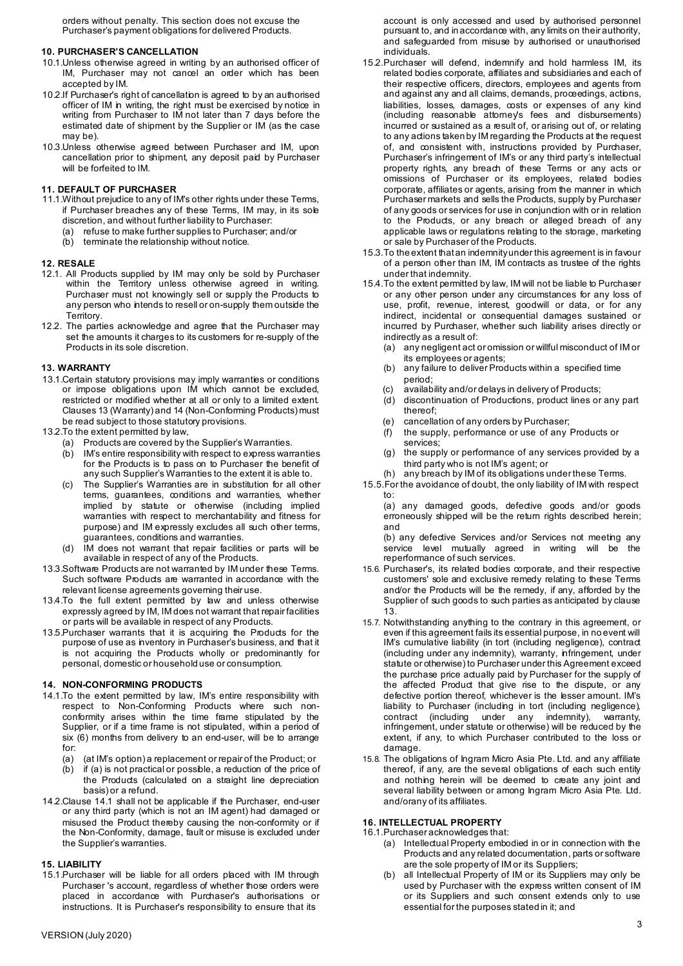orders without penalty. This section does not excuse the Purchaser's payment obligations for delivered Products.

# **10. PURCHASER'S CANCELLATION**

- 10.1.Unless otherwise agreed in writing by an authorised officer of IM, Purchaser may not cancel an order which has been accepted by IM.
- 10.2.If Purchaser's right of cancellation is agreed to by an authorised officer of IM in writing, the right must be exercised by notice in writing from Purchaser to IM not later than 7 days before the estimated date of shipment by the Supplier or IM (as the case may be).
- 10.3.Unless otherwise agreed between Purchaser and IM, upon cancellation prior to shipment, any deposit paid by Purchaser will be forfeited to IM.

# **11. DEFAULT OF PURCHASER**

- 11.1.Without prejudice to any of IM's other rights under these Terms, if Purchaser breaches any of these Terms, IM may, in its sole discretion, and without further liability to Purchaser:
	- (a) refuse to make further supplies to Purchaser; and/or (b) terminate the relationship without notice
	- terminate the relationship without notice.

#### **12. RESALE**

- 12.1. All Products supplied by IM may only be sold by Purchaser within the Territory unless otherwise agreed in writing. Purchaser must not knowingly sell or supply the Products to any person who intends to resell or on-supply them outside the Territory.
- 12.2. The parties acknowledge and agree that the Purchaser may set the amounts it charges to its customers for re-supply of the Products in its sole discretion.

# <span id="page-2-0"></span>**13. WARRANTY**

- 13.1.Certain statutory provisions may imply warranties or conditions or impose obligations upon IM which cannot be excluded, restricted or modified whether at all or only to a limited extent. Clauses [13](#page-2-0) (Warranty) and [14](#page-2-1) (Non-Conforming Products) must be read subject to those statutory provisions.
- 13.2.To the extent permitted by law,
	- (a) Products are covered by the Supplier's Warranties.
	- (b) IM's entire responsibility with respect to express warranties for the Products is to pass on to Purchaser the benefit of any such Supplier's Warranties to the extent it is able to.
	- The Supplier's Warranties are in substitution for all other terms, guarantees, conditions and warranties, whether implied by statute or otherwise (including implied warranties with respect to merchantability and fitness for purpose) and IM expressly excludes all such other terms, guarantees, conditions and warranties.
	- IM does not warrant that repair facilities or parts will be available in respect of any of the Products.
- 13.3.Software Products are not warranted by IM under these Terms. Such software Products are warranted in accordance with the relevant license agreements governing their use.
- 13.4.To the full extent permitted by law and unless otherwise expressly agreed by IM, IM does not warrant that repair facilities or parts will be available in respect of any Products.
- 13.5.Purchaser warrants that it is acquiring the Products for the purpose of use as inventory in Purchaser's business, and that it is not acquiring the Products wholly or predominantly for personal, domestic or household use or consumption.

#### <span id="page-2-1"></span>**14. NON-CONFORMING PRODUCTS**

- <span id="page-2-2"></span>14.1.To the extent permitted by law, IM's entire responsibility with respect to Non-Conforming Products where such nonconformity arises within the time frame stipulated by the Supplier, or if a time frame is not stipulated, within a period of six (6) months from delivery to an end-user, will be to arrange for:
	-
	- (a) (at IM's option) a replacement or repair of the Product; or if (a) is not practical or possible, a reduction of the price of the Products (calculated on a straight line depreciation basis) or a refund.
- 14.2.Claus[e 14.1 s](#page-2-2)hall not be applicable if the Purchaser, end-user or any third party (which is not an IM agent) had damaged or misused the Product thereby causing the non-conformity or if the Non-Conformity, damage, fault or misuse is excluded under the Supplier's warranties.

# **15. LIABILITY**

15.1.Purchaser will be liable for all orders placed with IM through Purchaser 's account, regardless of whether those orders were placed in accordance with Purchaser's authorisations or instructions. It is Purchaser's responsibility to ensure that its

account is only accessed and used by authorised personnel pursuant to, and in accordance with, any limits on their authority, and safeguarded from misuse by authorised or unauthorised individuals.

- 15.2.Purchaser will defend, indemnify and hold harmless IM, its related bodies corporate, affiliates and subsidiaries and each of their respective officers, directors, employees and agents from and against any and all claims, demands, proceedings, actions, liabilities, losses, damages, costs or expenses of any kind (including reasonable attorney's fees and disbursements) incurred or sustained as a result of, or arising out of, or relating to any actions taken by IM regarding the Products at the request of, and consistent with, instructions provided by Purchaser, Purchaser's infringement of IM's or any third party's intellectual property rights, any breach of these Terms or any acts or omissions of Purchaser or its employees, related bodies corporate, affiliates or agents, arising from the manner in which Purchaser markets and sells the Products, supply by Purchaser of any goods or services for use in conjunction with or in relation to the Products, or any breach or alleged breach of any applicable laws or regulations relating to the storage, marketing or sale by Purchaser of the Products.
- 15.3.To the extent thatan indemnityunder this agreement is in favour of a person other than IM, IM contracts as trustee of the rights under that indemnity.
- 15.4.To the extent permitted by law, IM will not be liable to Purchaser or any other person under any circumstances for any loss of use, profit, revenue, interest, goodwill or data, or for any indirect, incidental or consequential damages sustained or incurred by Purchaser, whether such liability arises directly or indirectly as a result of:
	- (a) any negligent act or omission or willful misconduct of IM or its employees or agents;
	- (b) any failure to deliver Products within a specified time period;
	- (c) availability and/or delays in delivery of Products;
	- (d) discontinuation of Productions, product lines or any part thereof;
	- (e) cancellation of any orders by Purchaser;
	- (f) the supply, performance or use of any Products or services;
	- (g) the supply or performance of any services provided by a third party who is not IM's agent; or
	- (h) any breach by IM of its obligations under these Terms.
- 15.5.For the avoidance of doubt, the only liability of IM with respect to:

(a) any damaged goods, defective goods and/or goods erroneously shipped will be the return rights described herein; and

(b) any defective Services and/or Services not meeting any service level mutually agreed in writing will be the reperformance of such services.

- 15.6. Purchaser's, its related bodies corporate, and their respective customers' sole and exclusive remedy relating to these Terms and/or the Products will be the remedy, if any, afforded by the Supplier of such goods to such parties as anticipated by clause 13.
- 15.7. Notwithstanding anything to the contrary in this agreement, or even if this agreement fails its essential purpose, in no event will IM's cumulative liability (in tort (including negligence), contract (including under any indemnity), warranty, infringement, under statute or otherwise) to Purchaser under this Agreement exceed the purchase price actually paid by Purchaser for the supply of the affected Product that give rise to the dispute, or any defective portion thereof, whichever is the lesser amount. IM's liability to Purchaser (including in tort (including negligence), contract (including under any indemnity), warranty, infringement, under statute or otherwise) will be reduced by the extent, if any, to which Purchaser contributed to the loss or damage.
- 15.8. The obligations of Ingram Micro Asia Pte. Ltd. and any affiliate thereof, if any, are the several obligations of each such entity and nothing herein will be deemed to create any joint and several liability between or among Ingram Micro Asia Pte. Ltd. and/orany of its affiliates.

# **16. INTELLECTUAL PROPERTY**

- 16.1.Purchaser acknowledges that: (a) Intellectual Property embodied in or in connection with the Products and any related documentation, parts or software are the sole property of IM or its Suppliers;
	- (b) all Intellectual Property of IM or its Suppliers may only be used by Purchaser with the express written consent of IM or its Suppliers and such consent extends only to use essential for the purposes stated in it; and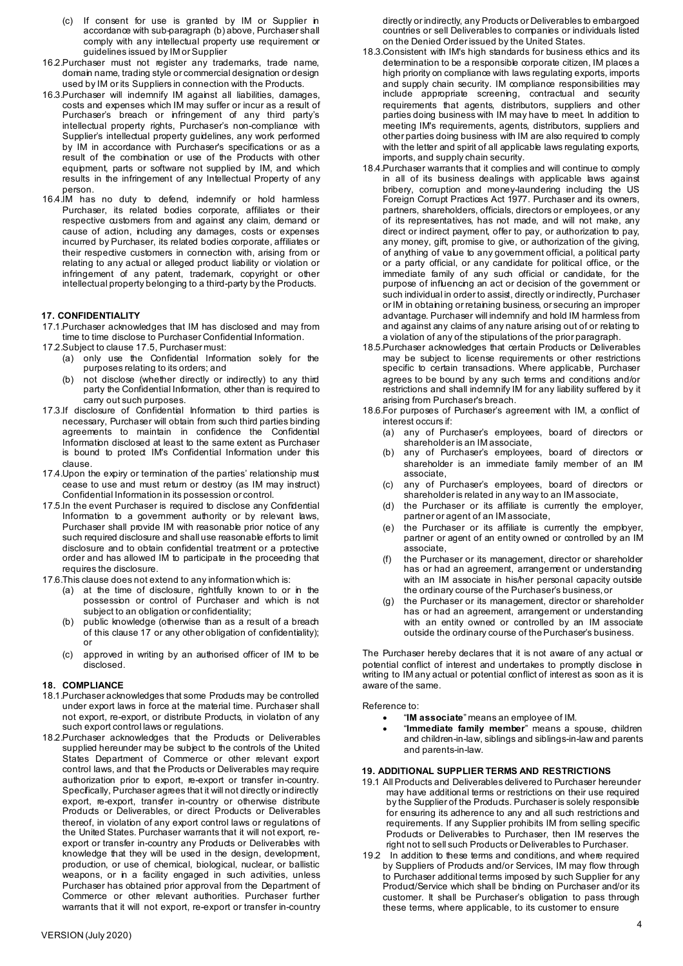- (c) If consent for use is granted by IM or Supplier in accordance with sub-paragraph (b) above, Purchaser shall comply with any intellectual property use requirement or guidelines issued by IM or Supplier
- 16.2.Purchaser must not register any trademarks, trade name, domain name, trading style or commercial designation or design used by IM or its Suppliers in connection with the Products.
- 16.3.Purchaser will indemnify IM against all liabilities, damages, costs and expenses which IM may suffer or incur as a result of Purchaser's breach or infringement of any third party's intellectual property rights, Purchaser's non-compliance with Supplier's intellectual property guidelines, any work performed by IM in accordance with Purchaser's specifications or as a result of the combination or use of the Products with other equipment, parts or software not supplied by IM, and which results in the infringement of any Intellectual Property of any person.
- 16.4.IM has no duty to defend, indemnify or hold harmless Purchaser, its related bodies corporate, affiliates or their respective customers from and against any claim, demand or cause of action, including any damages, costs or expenses incurred by Purchaser, its related bodies corporate, affiliates or their respective customers in connection with, arising from or relating to any actual or alleged product liability or violation or infringement of any patent, trademark, copyright or other intellectual property belonging to a third-party by the Products.

#### <span id="page-3-1"></span>**17. CONFIDENTIALITY**

17.1.Purchaser acknowledges that IM has disclosed and may from time to time disclose to Purchaser Confidential Information.

- 17.2.Subject to clause [17.5,](#page-3-0) Purchaser must:
	- (a) only use the Confidential Information solely for the purposes relating to its orders; and
	- (b) not disclose (whether directly or indirectly) to any third party the Confidential Information, other than is required to carry out such purposes.
- 17.3.If disclosure of Confidential Information to third parties is necessary, Purchaser will obtain from such third parties binding agreements to maintain in confidence the Confidential Information disclosed at least to the same extent as Purchaser is bound to protect IM's Confidential Information under this clause.
- 17.4.Upon the expiry or termination of the parties' relationship must cease to use and must return or destroy (as IM may instruct) Confidential Information in its possession or control.
- <span id="page-3-0"></span>17.5.In the event Purchaser is required to disclose any Confidential Information to a government authority or by relevant laws, Purchaser shall provide IM with reasonable prior notice of any such required disclosure and shall use reasonable efforts to limit disclosure and to obtain confidential treatment or a protective order and has allowed IM to participate in the proceeding that requires the disclosure.
- 17.6.This clause does not extend to any informationwhich is:
	- (a) at the time of disclosure, rightfully known to or in the possession or control of Purchaser and which is not subject to an obligation or confidentiality;
	- (b) public knowledge (otherwise than as a result of a breach of this claus[e 17 o](#page-3-1)r any other obligation of confidentiality); or
	- (c) approved in writing by an authorised officer of IM to be disclosed.

#### **18. COMPLIANCE**

- 18.1.Purchaser acknowledges that some Products may be controlled under export laws in force at the material time. Purchaser shall not export, re-export, or distribute Products, in violation of any such export control laws or regulations.
- 18.2.Purchaser acknowledges that the Products or Deliverables supplied hereunder may be subject to the controls of the United States Department of Commerce or other relevant export control laws, and that the Products or Deliverables may require authorization prior to export, re-export or transfer in-country. Specifically, Purchaser agrees that it will not directly or indirectly export, re-export, transfer in-country or otherwise distribute Products or Deliverables, or direct Products or Deliverables thereof, in violation of any export control laws or regulations of the United States. Purchaser warrants that it will not export, reexport or transfer in-country any Products or Deliverables with knowledge that they will be used in the design, development, production, or use of chemical, biological, nuclear, or ballistic weapons, or in a facility engaged in such activities, unless Purchaser has obtained prior approval from the Department of Commerce or other relevant authorities. Purchaser further warrants that it will not export, re-export or transfer in-country
- 18.3.Consistent with IM's high standards for business ethics and its determination to be a responsible corporate citizen, IM places a high priority on compliance with laws regulating exports, imports and supply chain security. IM compliance responsibilities may include appropriate screening, contractual and security requirements that agents, distributors, suppliers and other parties doing business with IM may have to meet. In addition to meeting IM's requirements, agents, distributors, suppliers and other parties doing business with IM are also required to comply with the letter and spirit of all applicable laws regulating exports, imports, and supply chain security.
- 18.4.Purchaser warrants that it complies and will continue to comply in all of its business dealings with applicable laws against bribery, corruption and money-laundering including the US Foreign Corrupt Practices Act 1977. Purchaser and its owners, partners, shareholders, officials, directors or employees, or any of its representatives, has not made, and will not make, any direct or indirect payment, offer to pay, or authorization to pay, any money, gift, promise to give, or authorization of the giving, of anything of value to any government official, a political party or a party official, or any candidate for political office, or the immediate family of any such official or candidate, for the purpose of influencing an act or decision of the government or such individual in order to assist, directly or indirectly, Purchaser or IM in obtaining or retaining business, or securing an improper advantage. Purchaser will indemnify and hold IM harmless from and against any claims of any nature arising out of or relating to a violation of any of the stipulations of the prior paragraph.
- 18.5.Purchaser acknowledges that certain Products or Deliverables may be subject to license requirements or other restrictions specific to certain transactions. Where applicable, Purchaser agrees to be bound by any such terms and conditions and/or restrictions and shall indemnify IM for any liability suffered by it arising from Purchaser's breach.
- 18.6.For purposes of Purchaser's agreement with IM, a conflict of interest occurs if:
	- (a) any of Purchaser's employees, board of directors or shareholder is an IM associate,
	- (b) any of Purchaser's employees, board of directors or shareholder is an immediate family member of an IM associate,
	- (c) any of Purchaser's employees, board of directors or shareholder is related in any way to an IM associate,
	- (d) the Purchaser or its affiliate is currently the employer, partner or agent of an IM associate,
	- (e) the Purchaser or its affiliate is currently the employer, partner or agent of an entity owned or controlled by an IM associate,
	- the Purchaser or its management, director or shareholder has or had an agreement, arrangement or understanding with an IM associate in his/her personal capacity outside the ordinary course of the Purchaser's business,or
	- the Purchaser or its management, director or shareholder has or had an agreement, arrangement or understanding with an entity owned or controlled by an IM associate outside the ordinary course of thePurchaser's business.

The Purchaser hereby declares that it is not aware of any actual or potential conflict of interest and undertakes to promptly disclose in writing to IM any actual or potential conflict of interest as soon as it is aware of the same.

Reference to:

- "**IM associate**" means an employee of IM.
- "**Immediate family member**" means a spouse, children and children-in-law, siblings and siblings-in-law and parents and parents-in-law.

# **19. ADDITIONAL SUPPLIER TERMS AND RESTRICTIONS**

- 19.1 All Products and Deliverables delivered to Purchaser hereunder may have additional terms or restrictions on their use required by the Supplier of the Products. Purchaser is solely responsible for ensuring its adherence to any and all such restrictions and requirements. If any Supplier prohibits IM from selling specific Products or Deliverables to Purchaser, then IM reserves the right not to sell such Products or Deliverables to Purchaser.
- 19.2 In addition to these terms and conditions, and where required by Suppliers of Products and/or Services, IM may flow through to Purchaser additional terms imposed by such Supplier for any Product/Service which shall be binding on Purchaser and/or its customer. It shall be Purchaser's obligation to pass through these terms, where applicable, to its customer to ensure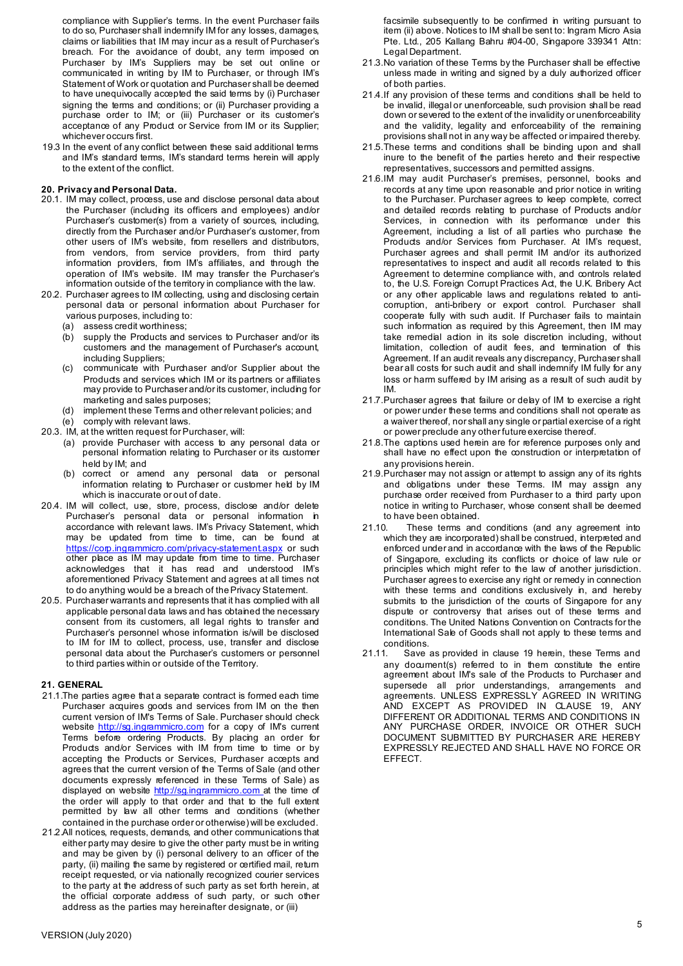compliance with Supplier's terms. In the event Purchaser fails to do so, Purchaser shall indemnify IM for any losses, damages, claims or liabilities that IM may incur as a result of Purchaser's breach. For the avoidance of doubt, any term imposed on Purchaser by IM's Suppliers may be set out online or communicated in writing by IM to Purchaser, or through IM's Statement of Work or quotation and Purchaser shall be deemed to have unequivocally accepted the said terms by (i) Purchaser signing the terms and conditions; or (ii) Purchaser providing a purchase order to IM; or (iii) Purchaser or its customer's acceptance of any Product or Service from IM or its Supplier; whichever occurs first.

19.3 In the event of any conflict between these said additional terms and IM's standard terms, IM's standard terms herein will apply to the extent of the conflict.

# **20. Privacy and Personal Data.**

- 20.1. IM may collect, process, use and disclose personal data about the Purchaser (including its officers and employees) and/or Purchaser's customer(s) from a variety of sources, including, directly from the Purchaser and/or Purchaser's customer, from other users of IM's website, from resellers and distributors, from vendors, from service providers, from third party information providers, from IM's affiliates, and through the operation of IM's website. IM may transfer the Purchaser's information outside of the territory in compliance with the law.
- 20.2. Purchaser agrees to IM collecting, using and disclosing certain personal data or personal information about Purchaser for various purposes, including to:
	- (a) assess credit worthiness;
	- (b) supply the Products and services to Purchaser and/or its customers and the management of Purchaser's account, including Suppliers;
	- (c) communicate with Purchaser and/or Supplier about the Products and services which IM or its partners or affiliates may provide to Purchaser and/or its customer, including for marketing and sales purposes;
	- (d) implement these Terms and other relevant policies; and
	- (e) comply with relevant laws.
- 20.3. IM, at the written request for Purchaser, will:
	- (a) provide Purchaser with access to any personal data or personal information relating to Purchaser or its customer held by IM; and
	- (b) correct or amend any personal data or personal information relating to Purchaser or customer held by IM which is inaccurate or out of date.
- 20.4. IM will collect, use, store, process, disclose and/or delete Purchaser's personal data or personal information in accordance with relevant laws. IM's Privacy Statement, which may be updated from time to time, can be found at <u><https://corp.ingrammicro.com/privacy-statement.aspx></u>\_or\_such other place as IM may update from time to time. Purchaser acknowledges that it has read and understood IM's aforementioned Privacy Statement and agrees at all times not to do anything would be a breach of thePrivacy Statement.
- 20.5. Purchaser warrants and represents that it has complied with all applicable personal data laws and has obtained the necessary consent from its customers, all legal rights to transfer and Purchaser's personnel whose information is/will be disclosed to IM for IM to collect, process, use, transfer and disclose personal data about the Purchaser's customers or personnel to third parties within or outside of the Territory.

#### **21. GENERAL**

- 21.1. The parties agree that a separate contract is formed each time Purchaser acquires goods and services from IM on the then current version of IM's Terms of Sale. Purchaser should check website http://sq.ingrammicro.com for a copy of IM's current Terms before ordering Products. By placing an order for Products and/or Services with IM from time to time or by accepting the Products or Services, Purchaser accepts and agrees that the current version of the Terms of Sale (and other documents expressly referenced in these Terms of Sale) as displayed on website [http://sg.ingrammicro.com a](http://sg.ingrammicro.com/)t the time of the order will apply to that order and that to the full extent permitted by law all other terms and conditions (whether contained in the purchase order or otherwise) will be excluded.
- 21.2.All notices, requests, demands, and other communications that either party may desire to give the other party must be in writing and may be given by (i) personal delivery to an officer of the party, (ii) mailing the same by registered or certified mail, return receipt requested, or via nationally recognized courier services to the party at the address of such party as set forth herein, at the official corporate address of such party, or such other address as the parties may hereinafter designate, or (iii)

facsimile subsequently to be confirmed in writing pursuant to item (ii) above. Notices to IM shall be sent to: Ingram Micro Asia Pte. Ltd., 205 Kallang Bahru #04-00, Singapore 339341 Attn: Legal Department.

- 21.3.No variation of these Terms by the Purchaser shall be effective unless made in writing and signed by a duly authorized officer of both parties.
- 21.4.If any provision of these terms and conditions shall be held to be invalid, illegal or unenforceable, such provision shall be read down or severed to the extent of the invalidity or unenforceability and the validity, legality and enforceability of the remaining provisions shall not in any way be affected or impaired thereby.
- 21.5.These terms and conditions shall be binding upon and shall inure to the benefit of the parties hereto and their respective representatives, successors and permitted assigns.
- 21.6.IM may audit Purchaser's premises, personnel, books and records at any time upon reasonable and prior notice in writing to the Purchaser. Purchaser agrees to keep complete, correct and detailed records relating to purchase of Products and/or Services, in connection with its performance under this Agreement, including a list of all parties who purchase the Products and/or Services from Purchaser. At IM's request, Purchaser agrees and shall permit IM and/or its authorized representatives to inspect and audit all records related to this Agreement to determine compliance with, and controls related to, the U.S. Foreign Corrupt Practices Act, the U.K. Bribery Act or any other applicable laws and regulations related to anticorruption, anti-bribery or export control. Purchaser shall cooperate fully with such audit. If Purchaser fails to maintain such information as required by this Agreement, then IM may take remedial action in its sole discretion including, without limitation, collection of audit fees, and termination of this Agreement. If an audit reveals any discrepancy, Purchaser shall bear all costs for such audit and shall indemnify IM fully for any loss or harm suffered by IM arising as a result of such audit by IM.
- 21.7. Purchaser agrees that failure or delay of IM to exercise a right or power under these terms and conditions shall not operate as a waiver thereof, nor shall any single or partial exercise of a right or power preclude any other future exercise thereof.
- 21.8.The captions used herein are for reference purposes only and shall have no effect upon the construction or interpretation of any provisions herein.
- 21.9.Purchaser may not assign or attempt to assign any of its rights and obligations under these Terms. IM may assign any purchase order received from Purchaser to a third party upon notice in writing to Purchaser, whose consent shall be deemed to have been obtained.
- 21.10. These terms and conditions (and any agreement into which they are incorporated) shall be construed, interpreted and enforced under and in accordance with the laws of the Republic of Singapore, excluding its conflicts or choice of law rule or principles which might refer to the law of another jurisdiction. Purchaser agrees to exercise any right or remedy in connection with these terms and conditions exclusively in, and hereby submits to the jurisdiction of the courts of Singapore for any dispute or controversy that arises out of these terms and conditions. The United Nations Convention on Contracts for the International Sale of Goods shall not apply to these terms and conditions.<br>21.11. Save
- Save as provided in clause 19 herein, these Terms and any document(s) referred to in them constitute the entire agreement about IM's sale of the Products to Purchaser and supersede all prior understandings, arrangements and agreements. UNLESS EXPRESSLY AGREED IN WRITING AND EXCEPT AS PROVIDED IN CLAUSE 19, ANY DIFFERENT OR ADDITIONAL TERMS AND CONDITIONS IN ANY PURCHASE ORDER, INVOICE OR OTHER SUCH DOCUMENT SUBMITTED BY PURCHASER ARE HEREBY EXPRESSLY REJECTED AND SHALL HAVE NO FORCE OR EFFECT.